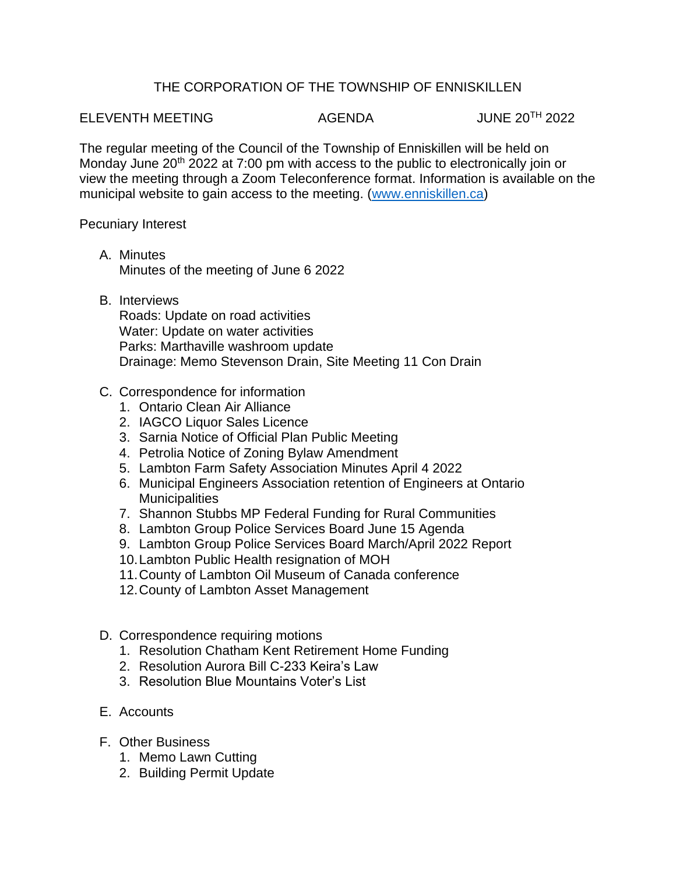## THE CORPORATION OF THE TOWNSHIP OF ENNISKILLEN

## ELEVENTH MEETING AGENDA JUNE 20TH 2022

The regular meeting of the Council of the Township of Enniskillen will be held on Monday June 20<sup>th</sup> 2022 at 7:00 pm with access to the public to electronically join or view the meeting through a Zoom Teleconference format. Information is available on the municipal website to gain access to the meeting. [\(www.enniskillen.ca\)](http://www.enniskillen.ca/)

Pecuniary Interest

- A. Minutes Minutes of the meeting of June 6 2022
- B. Interviews

Roads: Update on road activities Water: Update on water activities Parks: Marthaville washroom update Drainage: Memo Stevenson Drain, Site Meeting 11 Con Drain

- C. Correspondence for information
	- 1. Ontario Clean Air Alliance
	- 2. IAGCO Liquor Sales Licence
	- 3. Sarnia Notice of Official Plan Public Meeting
	- 4. Petrolia Notice of Zoning Bylaw Amendment
	- 5. Lambton Farm Safety Association Minutes April 4 2022
	- 6. Municipal Engineers Association retention of Engineers at Ontario **Municipalities**
	- 7. Shannon Stubbs MP Federal Funding for Rural Communities
	- 8. Lambton Group Police Services Board June 15 Agenda
	- 9. Lambton Group Police Services Board March/April 2022 Report
	- 10.Lambton Public Health resignation of MOH
	- 11.County of Lambton Oil Museum of Canada conference
	- 12.County of Lambton Asset Management
- D. Correspondence requiring motions
	- 1. Resolution Chatham Kent Retirement Home Funding
	- 2. Resolution Aurora Bill C-233 Keira's Law
	- 3. Resolution Blue Mountains Voter's List
- E. Accounts
- F. Other Business
	- 1. Memo Lawn Cutting
	- 2. Building Permit Update